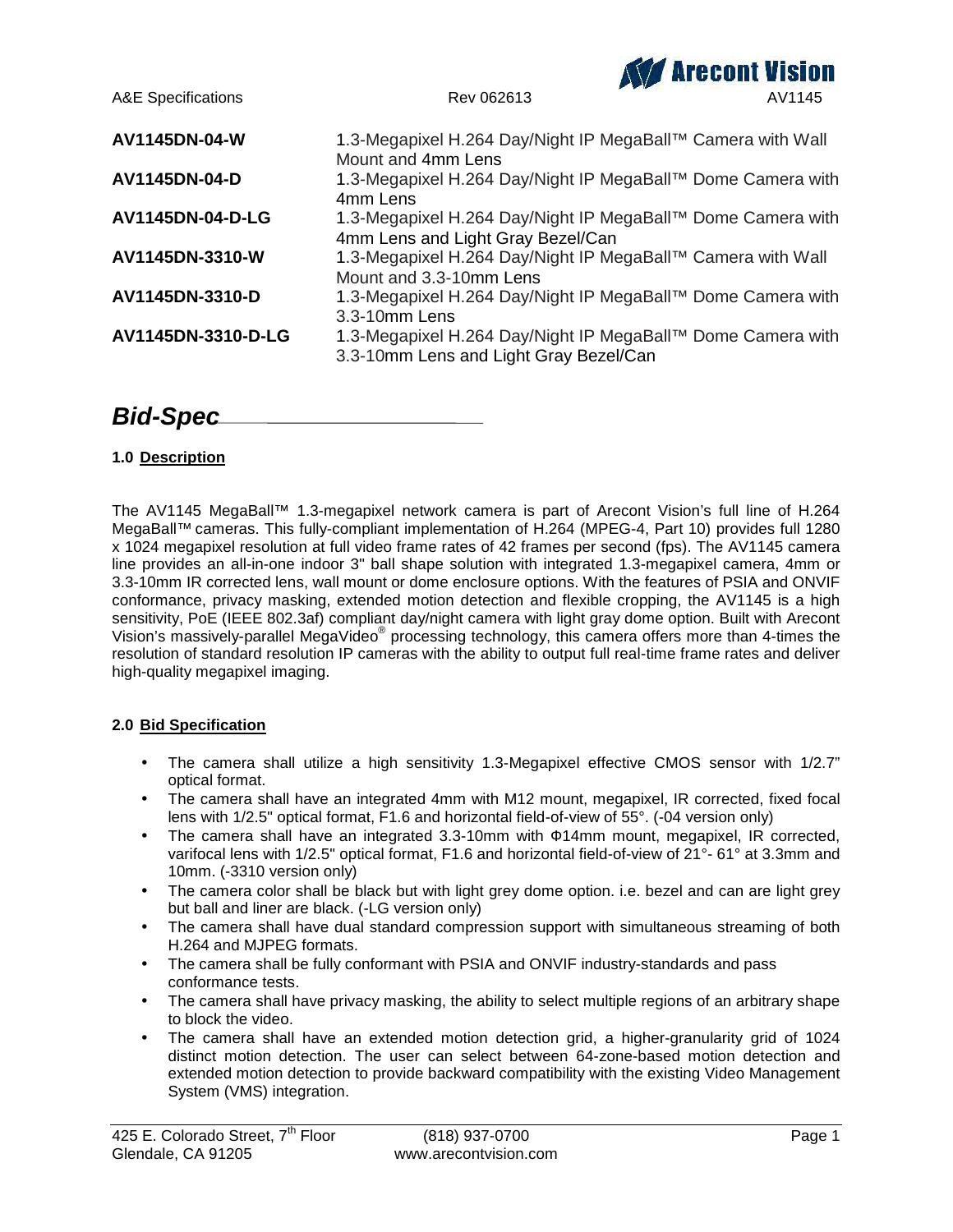

# *Bid-Spec*

# **1.0 Description**

The AV1145 MegaBall™ 1.3-megapixel network camera is part of Arecont Vision's full line of H.264 MegaBall™ cameras. This fully-compliant implementation of H.264 (MPEG-4, Part 10) provides full 1280 x 1024 megapixel resolution at full video frame rates of 42 frames per second (fps). The AV1145 camera line provides an all-in-one indoor 3" ball shape solution with integrated 1.3-megapixel camera, 4mm or 3.3-10mm IR corrected lens, wall mount or dome enclosure options. With the features of PSIA and ONVIF conformance, privacy masking, extended motion detection and flexible cropping, the AV1145 is a high sensitivity, PoE (IEEE 802.3af) compliant day/night camera with light gray dome option. Built with Arecont Vision's massively-parallel MegaVideo® processing technology, this camera offers more than 4-times the resolution of standard resolution IP cameras with the ability to output full real-time frame rates and deliver high-quality megapixel imaging.

# **2.0 Bid Specification**

- The camera shall utilize a high sensitivity 1.3-Megapixel effective CMOS sensor with 1/2.7" optical format.
- The camera shall have an integrated 4mm with M12 mount, megapixel, IR corrected, fixed focal lens with 1/2.5" optical format, F1.6 and horizontal field-of-view of 55°. (-04 version only)
- The camera shall have an integrated 3.3-10mm with 14mm mount, megapixel, IR corrected, varifocal lens with 1/2.5" optical format, F1.6 and horizontal field-of-view of 21°- 61° at 3.3mm and 10mm. (-3310 version only)
- The camera color shall be black but with light grey dome option. i.e. bezel and can are light grey but ball and liner are black. (-LG version only)
- The camera shall have dual standard compression support with simultaneous streaming of both H.264 and MJPEG formats.
- The camera shall be fully conformant with PSIA and ONVIF industry-standards and pass conformance tests.
- The camera shall have privacy masking, the ability to select multiple regions of an arbitrary shape to block the video.
- The camera shall have an extended motion detection grid, a higher-granularity grid of 1024 distinct motion detection. The user can select between 64-zone-based motion detection and extended motion detection to provide backward compatibility with the existing Video Management System (VMS) integration.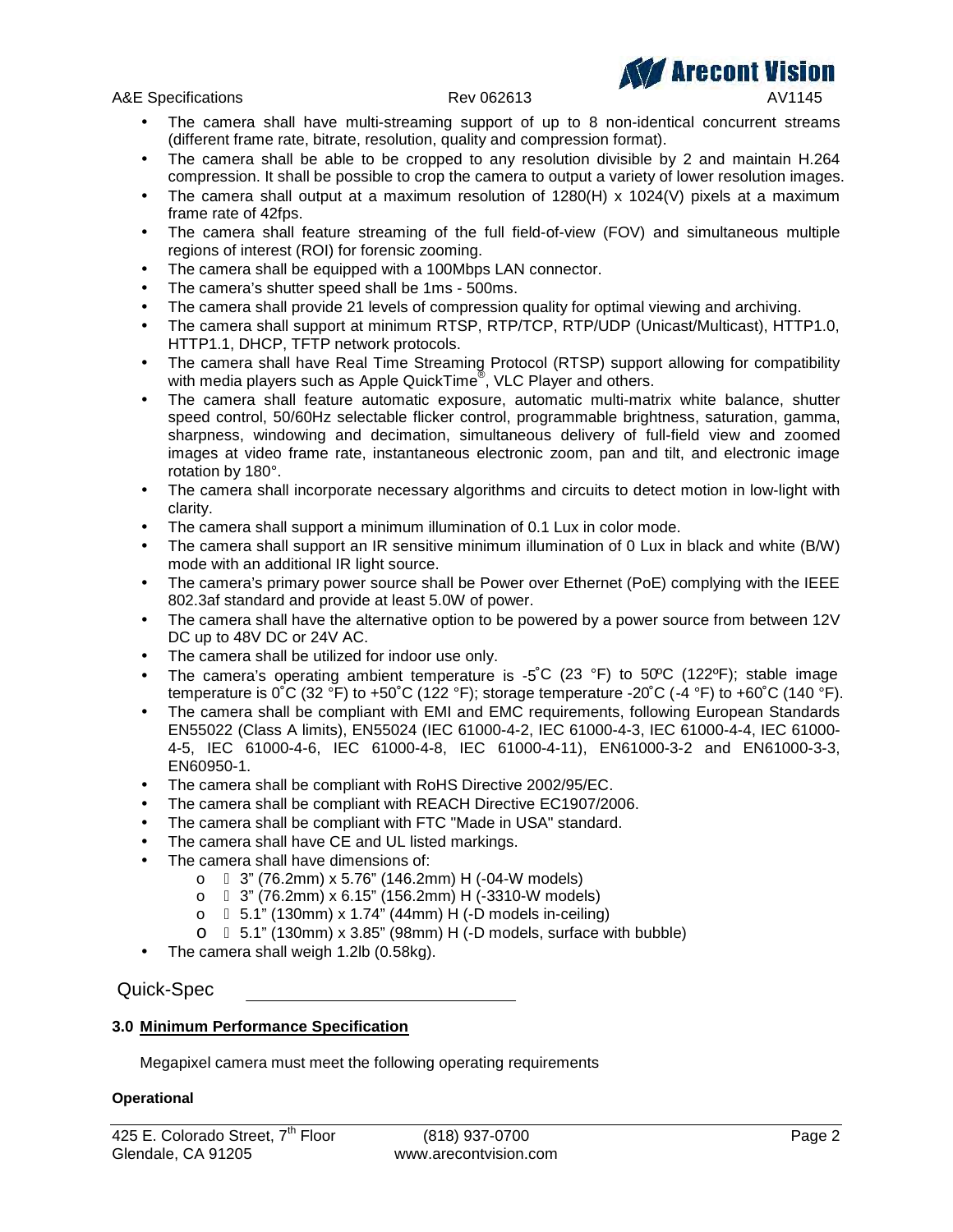A&E Specifications and the control of the Rev 062613 AV1145



- The camera shall have multi-streaming support of up to 8 non-identical concurrent streams (different frame rate, bitrate, resolution, quality and compression format).
- The camera shall be able to be cropped to any resolution divisible by 2 and maintain H.264 compression. It shall be possible to crop the camera to output a variety of lower resolution images.
- The camera shall output at a maximum resolution of 1280(H) x 1024(V) pixels at a maximum frame rate of 42fps.
- The camera shall feature streaming of the full field-of-view (FOV) and simultaneous multiple regions of interest (ROI) for forensic zooming.
- The camera shall be equipped with a 100Mbps LAN connector.
- The camera's shutter speed shall be 1ms 500ms.
- The camera shall provide 21 levels of compression quality for optimal viewing and archiving.
- The camera shall support at minimum RTSP, RTP/TCP, RTP/UDP (Unicast/Multicast), HTTP1.0, HTTP1.1, DHCP, TFTP network protocols.
- The camera shall have Real Time Streaming Protocol (RTSP) support allowing for compatibility with media players such as Apple QuickTime® , VLC Player and others.
- The camera shall feature automatic exposure, automatic multi-matrix white balance, shutter speed control, 50/60Hz selectable flicker control, programmable brightness, saturation, gamma, sharpness, windowing and decimation, simultaneous delivery of full-field view and zoomed images at video frame rate, instantaneous electronic zoom, pan and tilt, and electronic image rotation by 180°.
- The camera shall incorporate necessary algorithms and circuits to detect motion in low-light with clarity.
- The camera shall support a minimum illumination of 0.1 Lux in color mode.
- The camera shall support an IR sensitive minimum illumination of 0 Lux in black and white (B/W) mode with an additional IR light source.
- The camera's primary power source shall be Power over Ethernet (PoE) complying with the IEEE 802.3af standard and provide at least 5.0W of power.
- The camera shall have the alternative option to be powered by a power source from between 12V DC up to 48V DC or 24V AC.
- The camera shall be utilized for indoor use only.
- The camera's operating ambient temperature is -5°C (23 °F) to 50°C (122°F); stable image temperature is  $0^{\circ}C$  (32  $^{\circ}F$ ) to +50 $^{\circ}C$  (122  $^{\circ}F$ ); storage temperature -20 $^{\circ}C$  (-4  $^{\circ}F$ ) to +60 $^{\circ}C$  (140  $^{\circ}F$ ).
- The camera shall be compliant with EMI and EMC requirements, following European Standards EN55022 (Class A limits), EN55024 (IEC 61000-4-2, IEC 61000-4-3, IEC 61000-4-4, IEC 61000- 4-5, IEC 61000-4-6, IEC 61000-4-8, IEC 61000-4-11), EN61000-3-2 and EN61000-3-3, EN60950-1.
- The camera shall be compliant with RoHS Directive 2002/95/EC.
- The camera shall be compliant with REACH Directive EC1907/2006.
- The camera shall be compliant with FTC "Made in USA" standard.
- The camera shall have CE and UL listed markings.
- The camera shall have dimensions of:
	- o 3" (76.2mm) x 5.76" (146.2mm) H (-04-W models)
	- o 3" (76.2mm) x 6.15" (156.2mm) H (-3310-W models)
	- o 5.1" (130mm) x 1.74" (44mm) H (-D models in-ceiling)
	- o 5.1" (130mm) x 3.85" (98mm) H (-D models, surface with bubble)
- The camera shall weigh 1.2lb (0.58kg).

Quick-Spec

# **3.0 Minimum Performance Specification**

Megapixel camera must meet the following operating requirements

# **Operational**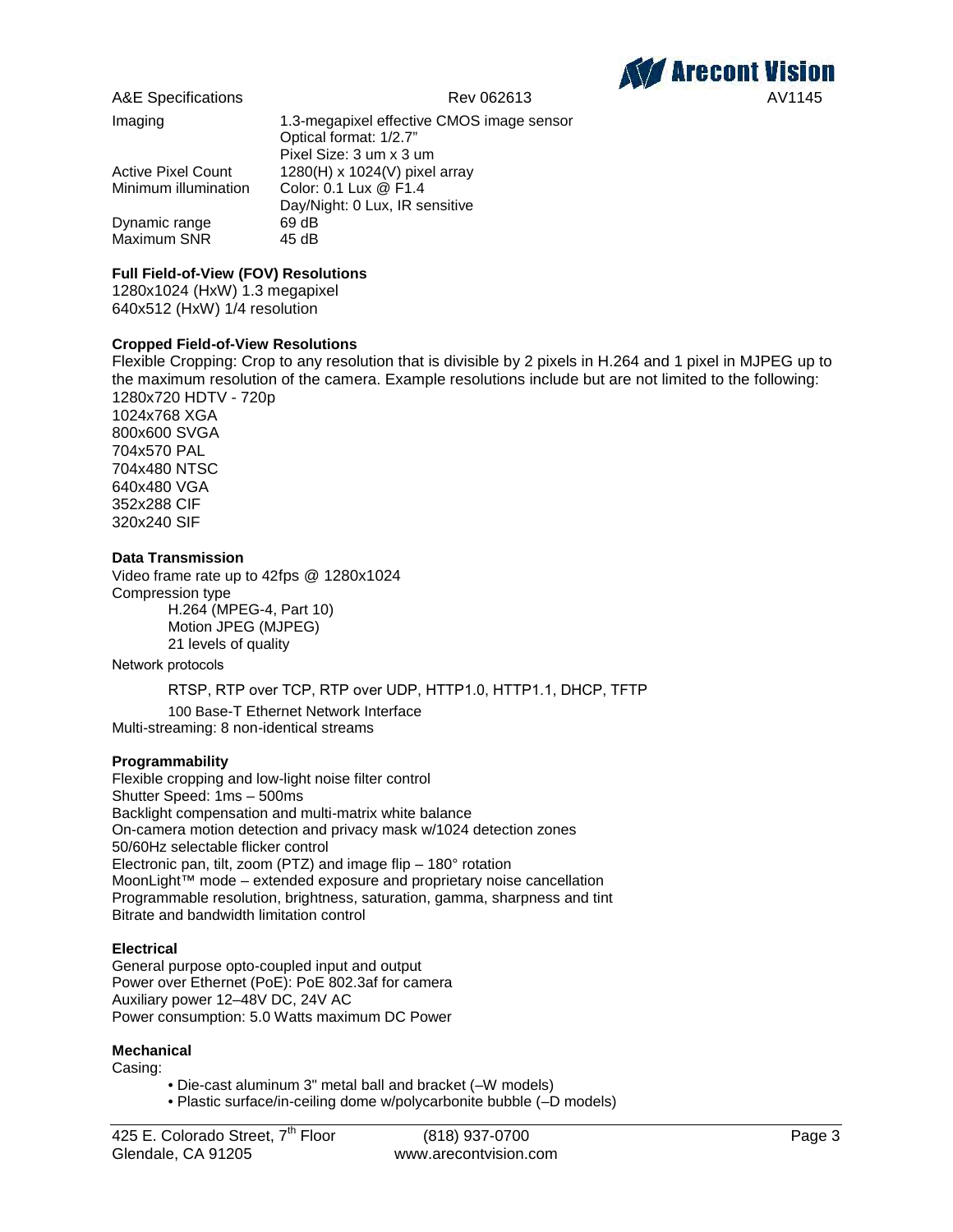

Maximum SNR

Imaging 1.3-megapixel effective CMOS image sensor Optical format: 1/2.7" Pixel Size: 3 um x 3 um Active Pixel Count 1280(H) x 1024(V) pixel array Minimum illumination Color: 0.1 Lux @ F1.4 Day/Night: 0 Lux, IR sensitive Dynamic range 69 dB<br>Maximum SNR 45 dB

# **Full Field-of-View (FOV) Resolutions**

1280x1024 (HxW) 1.3 megapixel 640x512 (HxW) 1/4 resolution

# **Cropped Field-of-View Resolutions**

Flexible Cropping: Crop to any resolution that is divisible by 2 pixels in H.264 and 1 pixel in MJPEG up to the maximum resolution of the camera. Example resolutions include but are not limited to the following: 1280x720 HDTV - 720p 1024x768 XGA 800x600 SVGA 704x570 PAL 704x480 NTSC

640x480 VGA 352x288 CIF 320x240 SIF

#### **Data Transmission**

Video frame rate up to 42fps @ 1280x1024 Compression type H.264 (MPEG-4, Part 10) Motion JPEG (MJPEG) 21 levels of quality

Network protocols

RTSP, RTP over TCP, RTP over UDP, HTTP1.0, HTTP1.1, DHCP, TFTP

100 Base-T Ethernet Network Interface Multi-streaming: 8 non-identical streams

#### **Programmability**

Flexible cropping and low-light noise filter control Shutter Speed: 1ms – 500ms Backlight compensation and multi-matrix white balance On-camera motion detection and privacy mask w/1024 detection zones 50/60Hz selectable flicker control Electronic pan, tilt, zoom (PTZ) and image flip – 180° rotation MoonLight™ mode – extended exposure and proprietary noise cancellation Programmable resolution, brightness, saturation, gamma, sharpness and tint Bitrate and bandwidth limitation control

#### **Electrical**

General purpose opto-coupled input and output Power over Ethernet (PoE): PoE 802.3af for camera Auxiliary power 12–48V DC, 24V AC Power consumption: 5.0 Watts maximum DC Power

#### **Mechanical**

Casing:

- Die-cast aluminum 3" metal ball and bracket (–W models)
- Plastic surface/in-ceiling dome w/polycarbonite bubble (–D models)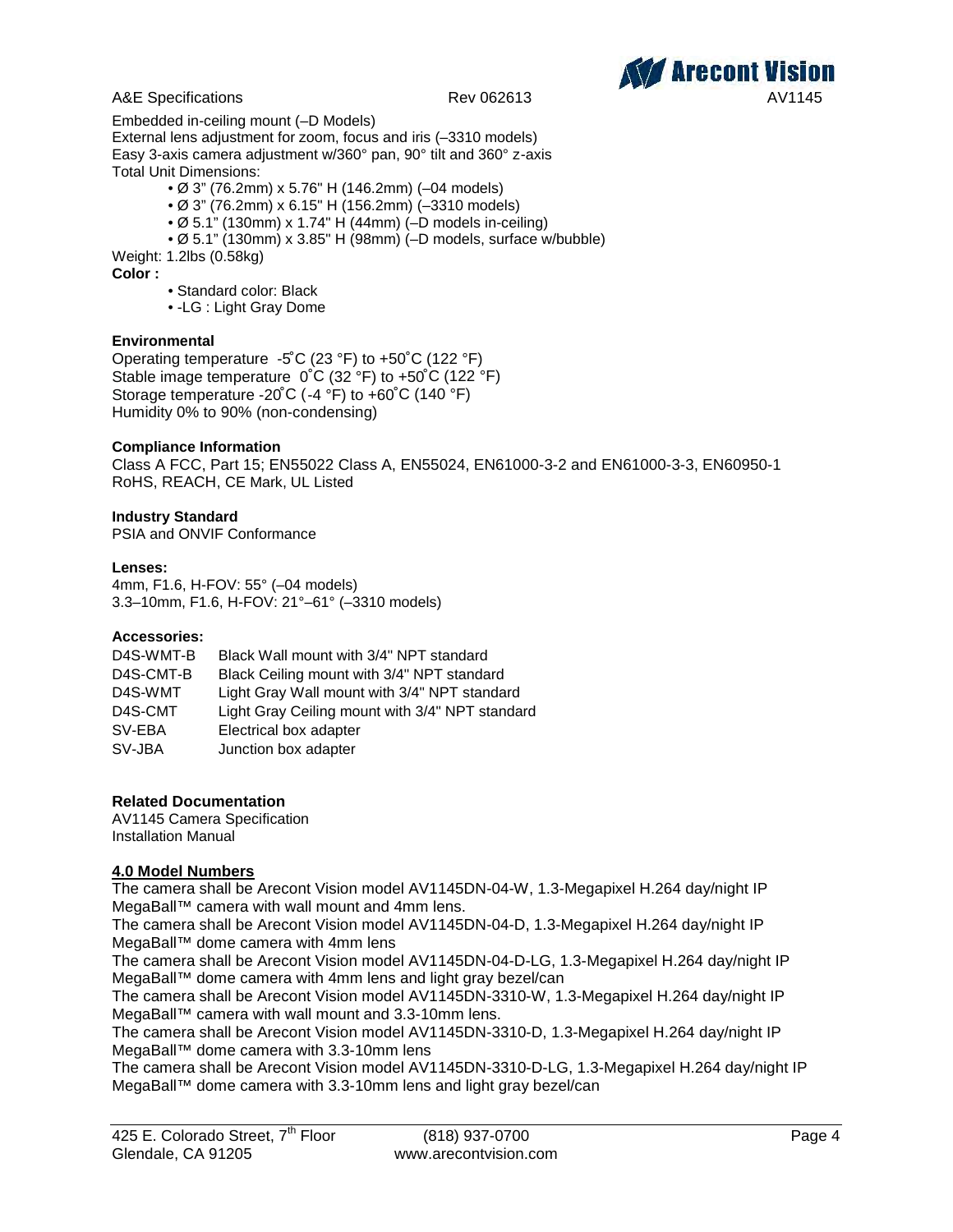



Embedded in-ceiling mount (–D Models) External lens adjustment for zoom, focus and iris (–3310 models) Easy 3-axis camera adjustment w/360° pan, 90° tilt and 360° z-axis Total Unit Dimensions:

- Ø 3" (76.2mm) x 5.76" H (146.2mm) (–04 models)
- Ø 3" (76.2mm) x 6.15" H (156.2mm) (–3310 models)
- Ø 5.1" (130mm) x 1.74" H (44mm) (–D models in-ceiling)
- Ø 5.1" (130mm) x 3.85" H (98mm) (–D models, surface w/bubble)

Weight: 1.2lbs (0.58kg)

**Color :**

- Standard color: Black
- -LG : Light Gray Dome

#### **Environmental**

Operating temperature -5˚C (23 °F) to +50˚C (122 °F) Stable image temperature 0˚C (32 °F) to +50˚C (122 °F) Storage temperature -20˚C (-4 °F) to +60˚C (140 °F) Humidity 0% to 90% (non-condensing)

#### **Compliance Information**

Class A FCC, Part 15; EN55022 Class A, EN55024, EN61000-3-2 and EN61000-3-3, EN60950-1 RoHS, REACH, CE Mark, UL Listed

#### **Industry Standard**

PSIA and ONVIF Conformance

#### **Lenses:**

4mm, F1.6, H-FOV: 55° (–04 models) 3.3–10mm, F1.6, H-FOV: 21°–61° (–3310 models)

#### **Accessories:**

| D4S-WMT-B | Black Wall mount with 3/4" NPT standard         |
|-----------|-------------------------------------------------|
| D4S-CMT-B | Black Ceiling mount with 3/4" NPT standard      |
| D4S-WMT   | Light Gray Wall mount with 3/4" NPT standard    |
| D4S-CMT   | Light Gray Ceiling mount with 3/4" NPT standard |
| SV-EBA    | Electrical box adapter                          |
| SV-JBA    | Junction box adapter                            |

#### **Related Documentation**

AV1145 Camera Specification Installation Manual

# **4.0 Model Numbers**

The camera shall be Arecont Vision model AV1145DN-04-W, 1.3-Megapixel H.264 day/night IP MegaBall™ camera with wall mount and 4mm lens.

The camera shall be Arecont Vision model AV1145DN-04-D, 1.3-Megapixel H.264 day/night IP MegaBall™ dome camera with 4mm lens

The camera shall be Arecont Vision model AV1145DN-04-D-LG, 1.3-Megapixel H.264 day/night IP MegaBall™ dome camera with 4mm lens and light gray bezel/can

The camera shall be Arecont Vision model AV1145DN-3310-W, 1.3-Megapixel H.264 day/night IP MegaBall™ camera with wall mount and 3.3-10mm lens.

The camera shall be Arecont Vision model AV1145DN-3310-D, 1.3-Megapixel H.264 day/night IP MegaBall™ dome camera with 3.3-10mm lens

The camera shall be Arecont Vision model AV1145DN-3310-D-LG, 1.3-Megapixel H.264 day/night IP MegaBall™ dome camera with 3.3-10mm lens and light gray bezel/can